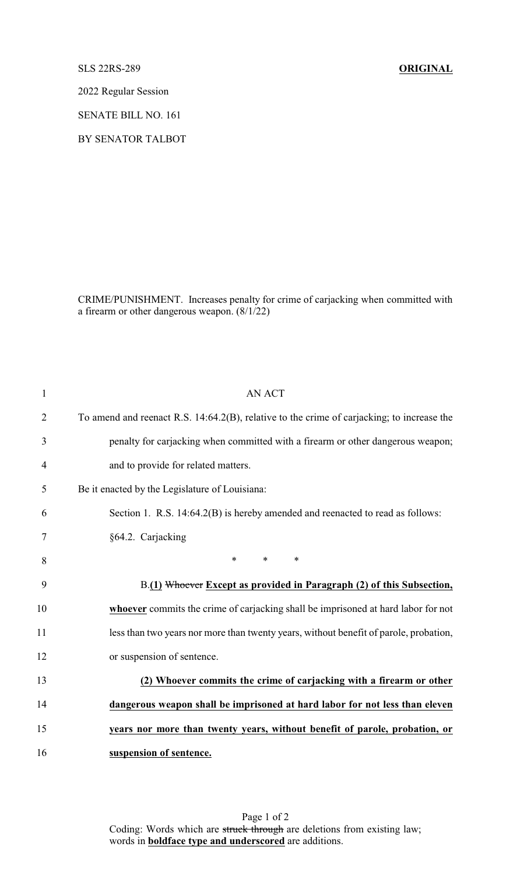SLS 22RS-289 **ORIGINAL**

2022 Regular Session

SENATE BILL NO. 161

BY SENATOR TALBOT

CRIME/PUNISHMENT. Increases penalty for crime of carjacking when committed with a firearm or other dangerous weapon. (8/1/22)

| $\mathbf{1}$   | <b>AN ACT</b>                                                                              |
|----------------|--------------------------------------------------------------------------------------------|
| $\overline{2}$ | To amend and reenact R.S. 14:64.2(B), relative to the crime of carjacking; to increase the |
| 3              | penalty for carjacking when committed with a firearm or other dangerous weapon;            |
| 4              | and to provide for related matters.                                                        |
| 5              | Be it enacted by the Legislature of Louisiana:                                             |
| 6              | Section 1. R.S. 14:64.2(B) is hereby amended and reenacted to read as follows:             |
| 7              | §64.2. Carjacking                                                                          |
| 8              | $\ast$<br>$*$ $*$<br>$\ast$                                                                |
| 9              | B.(1) Whoever Except as provided in Paragraph (2) of this Subsection,                      |
| 10             | whoever commits the crime of carjacking shall be imprisoned at hard labor for not          |
| 11             | less than two years nor more than twenty years, without benefit of parole, probation,      |
| 12             | or suspension of sentence.                                                                 |
| 13             | (2) Whoever commits the crime of carjacking with a firearm or other                        |
| 14             | dangerous weapon shall be imprisoned at hard labor for not less than eleven                |
| 15             | years nor more than twenty years, without benefit of parole, probation, or                 |
| 16             | suspension of sentence.                                                                    |

Page 1 of 2 Coding: Words which are struck through are deletions from existing law; words in **boldface type and underscored** are additions.